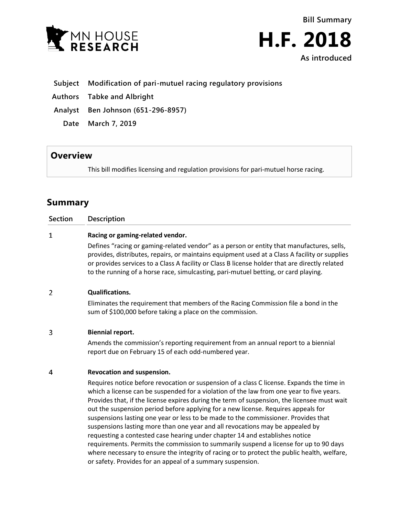

**Bill Summary H.F. 2018 As introduced**

# **Subject Modification of pari-mutuel racing regulatory provisions**

- **Authors Tabke and Albright**
- **Analyst Ben Johnson (651-296-8957)**
	- **Date March 7, 2019**

# **Overview**

This bill modifies licensing and regulation provisions for pari-mutuel horse racing.

# **Summary**

| <b>Section</b> | <b>Description</b>                                                                                                                                                                                                                                                                                                                                                                  |
|----------------|-------------------------------------------------------------------------------------------------------------------------------------------------------------------------------------------------------------------------------------------------------------------------------------------------------------------------------------------------------------------------------------|
| 1              | Racing or gaming-related vendor.                                                                                                                                                                                                                                                                                                                                                    |
|                | Defines "racing or gaming-related vendor" as a person or entity that manufactures, sells,<br>provides, distributes, repairs, or maintains equipment used at a Class A facility or supplies<br>or provides services to a Class A facility or Class B license holder that are directly related<br>to the running of a horse race, simulcasting, pari-mutuel betting, or card playing. |
| 2              | <b>Qualifications.</b>                                                                                                                                                                                                                                                                                                                                                              |
|                | Eliminates the requirement that members of the Racing Commission file a bond in the<br>sum of \$100,000 before taking a place on the commission.                                                                                                                                                                                                                                    |
| 3              | <b>Biennial report.</b>                                                                                                                                                                                                                                                                                                                                                             |
|                | Amends the commission's reporting requirement from an annual report to a biennial<br>report due on February 15 of each odd-numbered year.                                                                                                                                                                                                                                           |
| 4              | Revocation and suspension.                                                                                                                                                                                                                                                                                                                                                          |
|                | Requires notice before revocation or suspension of a class C license. Expands the time in<br>which a license can be suspended for a violation of the law from one year to five years.<br>Provides that, if the license expires during the term of suspension, the licensee must wait<br>out the suspension period before applying for a new license. Requires appeals for           |

out the suspension period before applying for a new license. Requires appeals for suspensions lasting one year or less to be made to the commissioner. Provides that suspensions lasting more than one year and all revocations may be appealed by requesting a contested case hearing under chapter 14 and establishes notice requirements. Permits the commission to summarily suspend a license for up to 90 days where necessary to ensure the integrity of racing or to protect the public health, welfare, or safety. Provides for an appeal of a summary suspension.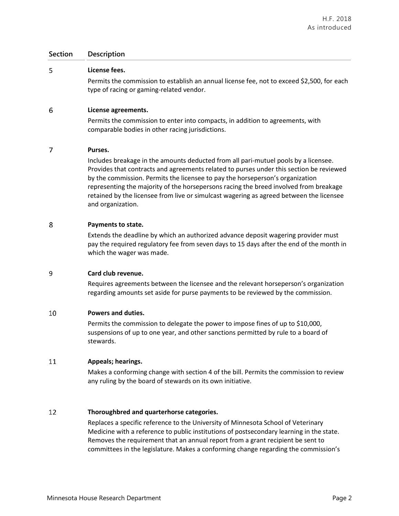### **Section Description**

#### 5 **License fees.**

Permits the commission to establish an annual license fee, not to exceed \$2,500, for each type of racing or gaming-related vendor.

#### 6 **License agreements.**

Permits the commission to enter into compacts, in addition to agreements, with comparable bodies in other racing jurisdictions.

#### $\overline{7}$ **Purses.**

Includes breakage in the amounts deducted from all pari-mutuel pools by a licensee. Provides that contracts and agreements related to purses under this section be reviewed by the commission. Permits the licensee to pay the horseperson's organization representing the majority of the horsepersons racing the breed involved from breakage retained by the licensee from live or simulcast wagering as agreed between the licensee and organization.

#### 8 **Payments to state.**

Extends the deadline by which an authorized advance deposit wagering provider must pay the required regulatory fee from seven days to 15 days after the end of the month in which the wager was made.

#### 9 **Card club revenue.**

Requires agreements between the licensee and the relevant horseperson's organization regarding amounts set aside for purse payments to be reviewed by the commission.

#### $10$ **Powers and duties.**

Permits the commission to delegate the power to impose fines of up to \$10,000, suspensions of up to one year, and other sanctions permitted by rule to a board of stewards.

#### 11 **Appeals; hearings.**

Makes a conforming change with section 4 of the bill. Permits the commission to review any ruling by the board of stewards on its own initiative.

#### 12 **Thoroughbred and quarterhorse categories.**

Replaces a specific reference to the University of Minnesota School of Veterinary Medicine with a reference to public institutions of postsecondary learning in the state. Removes the requirement that an annual report from a grant recipient be sent to committees in the legislature. Makes a conforming change regarding the commission's